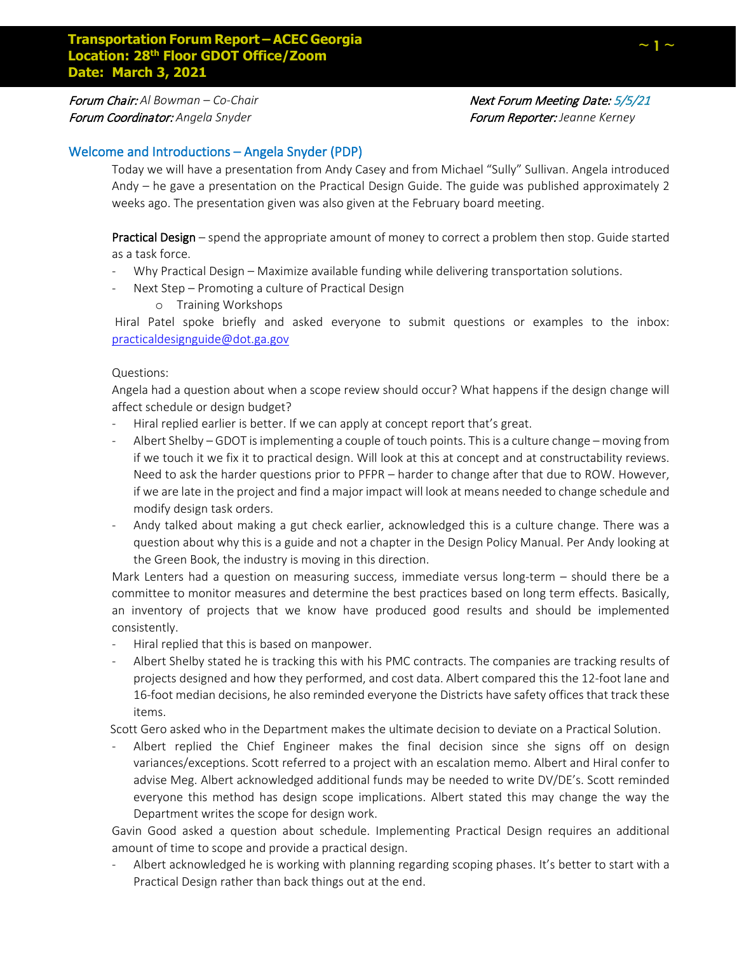**Forum Chair:** Al Bowman – Co-Chair Next **Next Forum Meeting Date: 5/5/21** 

Forum Coordinator: *Angela Snyder* Forum Reporter: *Jeanne Kerney*

# Welcome and Introductions – Angela Snyder (PDP)

Today we will have a presentation from Andy Casey and from Michael "Sully" Sullivan. Angela introduced Andy – he gave a presentation on the Practical Design Guide. The guide was published approximately 2 weeks ago. The presentation given was also given at the February board meeting.

Practical Design – spend the appropriate amount of money to correct a problem then stop. Guide started as a task force.

- Why Practical Design Maximize available funding while delivering transportation solutions.
- Next Step Promoting a culture of Practical Design
	- o Training Workshops

Hiral Patel spoke briefly and asked everyone to submit questions or examples to the inbox: practicaldesignguide@dot.ga.gov

# Questions:

Angela had a question about when a scope review should occur? What happens if the design change will affect schedule or design budget?

- Hiral replied earlier is better. If we can apply at concept report that's great.
- Albert Shelby GDOT is implementing a couple of touch points. This is a culture change moving from if we touch it we fix it to practical design. Will look at this at concept and at constructability reviews. Need to ask the harder questions prior to PFPR – harder to change after that due to ROW. However, if we are late in the project and find a major impact will look at means needed to change schedule and modify design task orders.
- Andy talked about making a gut check earlier, acknowledged this is a culture change. There was a question about why this is a guide and not a chapter in the Design Policy Manual. Per Andy looking at the Green Book, the industry is moving in this direction.

Mark Lenters had a question on measuring success, immediate versus long-term – should there be a committee to monitor measures and determine the best practices based on long term effects. Basically, an inventory of projects that we know have produced good results and should be implemented consistently.

- Hiral replied that this is based on manpower.
- Albert Shelby stated he is tracking this with his PMC contracts. The companies are tracking results of projects designed and how they performed, and cost data. Albert compared this the 12-foot lane and 16-foot median decisions, he also reminded everyone the Districts have safety offices that track these items.

Scott Gero asked who in the Department makes the ultimate decision to deviate on a Practical Solution.

- Albert replied the Chief Engineer makes the final decision since she signs off on design variances/exceptions. Scott referred to a project with an escalation memo. Albert and Hiral confer to advise Meg. Albert acknowledged additional funds may be needed to write DV/DE's. Scott reminded everyone this method has design scope implications. Albert stated this may change the way the Department writes the scope for design work.

Gavin Good asked a question about schedule. Implementing Practical Design requires an additional amount of time to scope and provide a practical design.

Albert acknowledged he is working with planning regarding scoping phases. It's better to start with a Practical Design rather than back things out at the end.

**~ 1 ~**